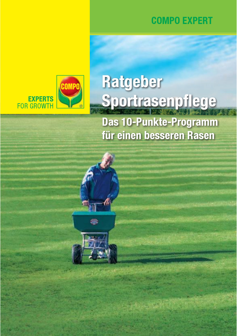

EXPERTS<br>FOR GROWTH

# Ratgeber Sportrasenpflege

**Das 10-Punkte-Programm** für einen besseren Rasen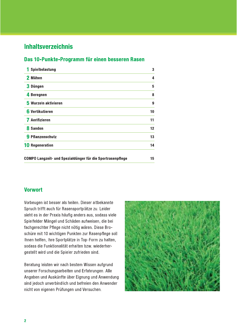## **Inhaltsverzeichnis**

#### Das 10-Punkte-Programm für einen besseren Rasen

| Spielbelastung                                             | 3  |
|------------------------------------------------------------|----|
| 2 Mähen                                                    | 4  |
| 3 Düngen                                                   | 5  |
| 4 Beregnen                                                 | 8  |
| 5 Wurzeln aktivieren                                       | 9  |
| 6 Vertikutieren                                            | 10 |
| Aerifizieren                                               | 11 |
| 8 Sanden                                                   | 12 |
| 9 Pflanzenschutz                                           | 13 |
| <b>10 Regeneration</b>                                     | 14 |
| COMPO Langzeit- und Spezialdünger für die Sportrasenpflege | 15 |

#### **Vorwort**

Vorbeugen ist besser als heilen. Dieser altbekannte Spruch trifft auch für Rasensportplätze zu. Leider sieht es in der Praxis häufig anders aus, sodass viele Spielfelder Mängel und Schäden aufweisen, die bei fachgerechter Pflege nicht nötig wären. Diese Broschüre mit 10 wichtigen Punkten zur Rasenpflege soll Ihnen helfen, Ihre Sportplätze in Top-Form zu halten, sodass die Funktionalität erhalten bzw. wiederhergestellt wird und die Spieler zufrieden sind.

Beratung leisten wir nach bestem Wissen aufgrund unserer Forschungsarbeiten und Erfahrungen. Alle Angaben und Auskünfte über Eignung und Anwendung sind jedoch unverbindlich und befreien den Anwender nicht von eigenen Prüfungen und Versuchen.

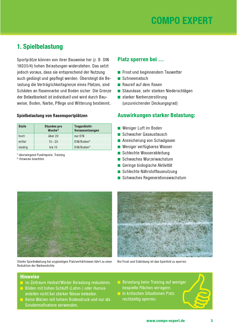

## 1. Spielbelastung

Sportplätze können von ihrer Bauweise her (z. B. DIN 18035/4) hohen Belastungen widerstehen. Das setzt jedoch voraus, dass sie entsprechend der Nutzung auch gedüngt und gepflegt werden. Übersteigt die Belastung die Verträglichkeitsgrenze eines Platzes, sind Schäden an Rasennarbe und Boden sicher. Die Grenze der Belastbarkeit ist individuell und wird durch Bauweise, Boden, Narbe, Pflege und Witterung bestimmt.

#### Spielbelastung von Rasensportplätzen

| <b>Stufe</b> | <b>Stunden pro</b><br>Woche <sup>1</sup> | Tragschicht-<br>Voraussetzungen |
|--------------|------------------------------------------|---------------------------------|
| hoch         | über 20                                  | nur DIN                         |
| mittel       | $15 - 20$                                | DIN/Boden <sup>2)</sup>         |
| niedrig      | bis <sub>15</sub>                        | DIN/Boden <sup>2</sup>          |

<sup>1)</sup> überwiegend Punktspiele, Training

<sup>2)</sup> Hinweise beachten

#### Platz sperren bei ...

- Frost und beginnendem Tauwetter
- Schneematsch
- Raureif auf dem Rasen
- Staunässe, sehr starken Niederschlägen
- starker Narbenzerstörung (unzureichender Deckungsgrad)

#### Auswirkungen starker Belastung:

- Weniger Luft im Boden
- Schwacher Gasaustausch
- Anreicherung von Schadgasen
- Weniger verfügbares Wasser
- Schlechte Wasserableitung
- Schwaches Wurzelwachstum
- Geringe biologische Aktivität
- Schlechte Nährstoffausnutzung
- Schwaches Regenerationswachstum



Starke Spielbelastung bei ungünstigen Platzverhältnissen führt zu einer Reduktion der Narbendichte.



Bei Frost und Eisbildung ist das Spielfeld zu sperren.

- In Zeitraum Herbst/Winter Belastung reduzieren.
- Böden mit hohen Schluff-(Lehm-) oder Humusanteilen nicht bei starker Nässe belasten.
- Keine Walzen mit hohem Bodendruck und nur als Sondermaßnahme verwenden.
- Belastung beim Training auf weniger bespielte Flächen verlagern.
- In kritischen Situationen Platz rechtzeitig sperren.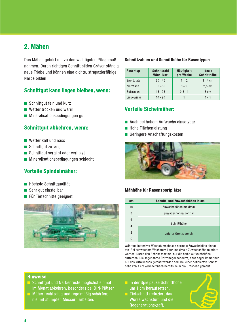## 2. Mähen

Das Mähen gehört mit zu den wichtigsten Pflegemaßnahmen. Durch richtigen Schnitt bilden Gräser ständig neue Triebe und können eine dichte, strapazierfähige Narbe bilden.

### Schnittgut kann liegen bleiben, wenn:

- Schnittqut fein und kurz
- $\blacksquare$  Wetter trocken und warm
- Mineralisationsbedingungen gut

#### **Schnittgut abkehren, wenn:**

- Wetter kalt und nass
- Schnittqut zu lang
- Schnittgut vergilbt oder verholzt
- Mineralisationsbedingungen schlecht

## Vorteile Spindelmäher:

- Höchste Schnittqualität
- Sehr aut einstellbar
- Für Tiefschnitte geeignet



#### Schnittzahlen und Schnitthöhe für Rasentypen

| Rasentyp         | <b>Schnittzahl</b><br>März-Nov. | <b>Häufigkeit</b><br>pro Woche | Ideale<br>Schnitthöhe |
|------------------|---------------------------------|--------------------------------|-----------------------|
| Sportplatz       | $20 - 45$                       | $1 - 2$                        | $3 - 4$ cm            |
| Zierrasen        | $30 - 50$                       | $1 - 2$                        | $2.5 \text{ cm}$      |
| <b>Bolzrasen</b> | $15 - 25$                       | $0,5 - 1$                      | 5 cm                  |
| Liegewiese       | $10 - 20$                       |                                | 4 cm                  |

## **Vorteile Sichelmäher:**

- Auch bei hohem Aufwuchs einsetzbar
- Hohe Flächenleistung
- Geringere Anschaffungskosten



#### Mähhöhe für Rasensportplätze

| cm             | Schnitt- und Zuwachshöhen in cm |
|----------------|---------------------------------|
| 10             | Zuwachshöhen maximal            |
| 8              | Zuwachshöhen normal             |
| 6              |                                 |
| $\overline{4}$ | Schnitthöhe                     |
| $\mathcal{P}$  | unterer Grenzbereich            |
|                |                                 |

Während intensiver Wachstumsphasen normale Zuwachshöhe einhalten. Bei schwachem Wachstum kann maximale Zuwachshöhe toleriert werden. Durch den Schnitt maximal nur die halbe Aufwuchshöhe entfernen. Die sogenannte Drittelregel bedeutet, dass sogar immer nur 1/3 des Aufwuchses gemäht werden soll. Bei einer definierten Schnitthöhe von 4 cm wird demnach bereits bei 6 cm Grashöhe gemäht.

- Schnittgut und Narbenreste möglichst einmal im Monat abkehren, besonders bei DIN-Plätzen.
- Mäher rechtzeitig und regelmäßig schärfen; nie mit stumpfen Messern arbeiten.
- In der Spielpause Schnitthöhe um 1 cm heraufsetzen.
- Tiefschnitt reduziert das Wurzelwachstum und die Regenerationskraft.

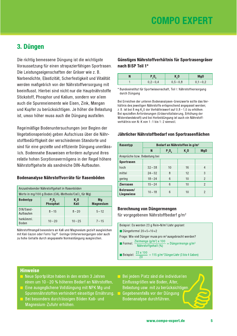## 3. Düngen

Die richtig bemessene Düngung ist die wichtigste Voraussetzung für einen strapazierfähigen Sportrasen. Die Leistungseigenschaften der Gräser wie z. B. Narbendichte, Elastizität, Scherfestigkeit und Vitalität werden maßgeblich von der Nährstoffversorgung mit beeinflusst. Hierbei sind nicht nur die Hauptnährstoffe Stickstoff, Phosphor und Kalium, sondern vor allem auch die Spurenelemente wie Eisen, Zink, Mangan und Kupfer zu berücksichtigen. Je höher die Belastung ist, umso höher muss auch die Düngung ausfallen.

Regelmäßige Bodenuntersuchungen (vor Beginn der Vegetationsperiode) geben Aufschluss über die Nährstoffbedürftigkeit der verschiedenen Standorte und sind für eine gezielte und effiziente Düngung unerlässlich. Bodennahe Bauweisen erfordern aufgrund ihres relativ hohen Sorptionsvermögens in der Regel höhere Nährstoffgehalte als sandreiche DIN-Aufbauten.

#### Bodenanalyse Nährstoffvorräte für Rasenböden

|                        | Anzustrebender Nährstoffgehalt in Rasenböden       |                   |                        |
|------------------------|----------------------------------------------------|-------------------|------------------------|
|                        | Werte in mg/100 g Boden (CAL-Methode/CaCl, für Mg) |                   |                        |
| <b>Bodentyp</b>        | $P_2O_5$<br>Phosphat                               | $K_{2}$ O<br>Kali | Mg<br><b>Magnesium</b> |
| DIN/Sand-<br>Aufbauten | $8 - 15$                                           | $8 - 20$          | $5 - 12$               |
| herkömml.<br>Boden     | $10 - 20$                                          | $10 - 25$         | $7 - 15$               |

Nährstoffmangel besonders an Kali und Magnesium gezielt ausgleichen mit Kali Gazon oder Ferro Top®, Geringe Unterversorgungen oder auch zu hohe Gehalte durch angepasste Normaldüngung ausgleichen.

#### Günstiges Nährstoffverhältnis für Sportrasengräser nach BISP Teil 1\*

|  | n u              | Mg <sub>0</sub> |
|--|------------------|-----------------|
|  | 0,8<br>$0.5 - 7$ |                 |

\* Bundesinstitut für Sportwissenschaft, Teil I: Nährstoffversorgung durch Düngung

Bei Erreichen der unteren Bodenanalysen-Grenzwerte sollte das Verhältnis des jeweiligen Nährstoffs entsprechend angepasst werden: z. B. ist bei 8 mg  $K<sub>2</sub>$ O der Verhältniswert auf 0,8 – 1,0 zu erhöhen. Bei speziellen Anforderungen (Gräservitalisierung, Erhöhung der Widerstandskraft) und bei Herbstdüngung ist auch ein Nährstoffverhältnis von N:K von 1:1 bis 1:2 sinnvoll.

#### Jährlicher Nährstoffbedarf von Sportrasenflächen

| Rasentyp                     | Bedarf an Nährstoffen in g/m <sup>2</sup> |          |      |                |
|------------------------------|-------------------------------------------|----------|------|----------------|
|                              | N                                         | $P_2O_5$ | K, 0 | Mg0            |
| Ansprüche bzw. Belastung bei |                                           |          |      |                |
| <b>Sportrasen</b>            |                                           |          |      |                |
| hoch                         | $32 - 38$                                 | 10       | 16   | 4              |
| mittel                       | $24 - 32$                                 | 8        | 12   | 3              |
| gering                       | $18 - 24$                                 | 6        | 10   | $\overline{2}$ |
| <b>Zierrasen</b>             | $15 - 24$                                 | 6        | 10   | $\overline{2}$ |
| Bolzrasen/<br>Liegewiese     | $10 - 18$                                 | 6        | 10   | $\mathcal{P}$  |

#### Berechnung von Düngermengen

für vorgegebenen Nährstoffbedarf g/m<sup>2</sup>

| Beispiel: Es werden 23 g Rein-N/m <sup>2</sup> /Jahr geplant                                                     |
|------------------------------------------------------------------------------------------------------------------|
| Düngeformel $20+5+10+2$                                                                                          |
| Frage: Wie viel Dünger muss pro $m2$ ausgebracht werden?                                                         |
| <b>Formel:</b> $\frac{\text{Zielmenge (g/m²)} \times 100}{\text{Nährstoffgehalt (\%)}}$<br>= Düngermenge $g/m^2$ |
| Beispiel: $\frac{23 \times 100}{20}$ = 115 g/m <sup>2</sup> Dünger/Jahr (3 bis 4 Gaben)                          |

- Neue Sportplätze haben in den ersten 3 Jahren einen um 10-20 % höheren Bedarf an Nährstoffen.
- Eine ausgeglichene Volldüngung mit NPK Mg und Spurennährstoffen verhindert einseitige Ernährung.
- **Bei besonders durchlässigen Böden Kali- und** Magnesium-Zufuhr erhöhen.
- $\blacksquare$  Bei jedem Platz sind die individuellen Einflussarößen wie Boden, Alter. Belastung usw. mit zu berücksichtigen.
- Gegebenenfalls vor der Düngung Bodenanalyse durchführen.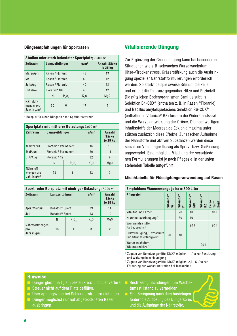### uungeempreniungen fur Sportrasen

| Düngeempfehlungen für Sportrasen            |                          |          |                                                                |                          | <b>Vital</b>     |
|---------------------------------------------|--------------------------|----------|----------------------------------------------------------------|--------------------------|------------------|
|                                             |                          |          | Stadion oder stark belasteter Sportplatz; 7.500 m <sup>2</sup> |                          | Zur Erg          |
| <b>Zeitraum</b>                             | Langzeitdünger           |          | g/m <sup>2</sup>                                               | Anzahl Säcke<br>je 25 kg | Situati          |
| März/April                                  | Rasen ®Floranid          |          | 43                                                             | 13                       | Hitze-/          |
| Mai                                         | Rasen ®Floranid          |          | 40                                                             | 12                       | gung s           |
| Juli/Aug.                                   | Rasen ®Floranid          |          | 40                                                             | 12                       | werde            |
| Okt./Nov.                                   | Floranid <sup>®</sup> NK |          | 40                                                             | 12                       | und er           |
|                                             | N                        | $P_2O_5$ | $K2$ O                                                         | Mg0                      | Die nü           |
| Nährstoff-<br>mengen pro<br>Jahr in $q/m^2$ | 30                       | 6        | 17                                                             | 4                        | Selekt<br>und Ba |

| Jahr in $g/m^2$                                          |                                 |          |                  |                                    | und Bac            |
|----------------------------------------------------------|---------------------------------|----------|------------------|------------------------------------|--------------------|
| * Beispiel für einen Düngeplan mit Spätherbsttermin!     |                                 |          |                  |                                    | (enthalt           |
|                                                          |                                 |          |                  |                                    | und die            |
| Sportplatz mit mittlerer Belastung; 7.000 m <sup>2</sup> |                                 |          |                  |                                    | Inhaltss           |
| <b>Zeitraum</b>                                          | Langzeitdünger                  |          | g/m <sup>2</sup> | Anzahl<br><b>Säcke</b><br>je 25 kg | stützen<br>der Näh |
| März/April                                               | Floranid <sup>®</sup> Permanent |          | 46               | 13                                 | spezielle          |
| Mai/Juni                                                 | Floranid <sup>®</sup> Permanent |          | 39               | 11                                 | angewe             |
| Juli/Aug.                                                | Floranid <sup>®</sup> 32        |          | 32               | 9                                  | nen For            |
|                                                          | N                               | $P_2O_5$ | K <sub>2</sub> 0 | Mg0                                | stehend            |
| Nährstoff-<br>mengen pro<br>Jahr in $q/m^2$              | 23                              | 8        | 13               | $\overline{2}$                     | <b>Mischt</b>      |

| mengen pro<br>Jahr in $q/m^2$                                       | 23                               | 8              | 13               | $\overline{2}$                     | <b>Mischta</b>        |
|---------------------------------------------------------------------|----------------------------------|----------------|------------------|------------------------------------|-----------------------|
|                                                                     |                                  |                |                  |                                    |                       |
| Sport- oder Bolzplatz mit niedriger Belastung; 7.000 m <sup>2</sup> |                                  |                |                  |                                    | <b>Empfol</b>         |
| <b>Zeitraum</b>                                                     | Langzeitdünger                   |                | g/m <sup>2</sup> | Anzahl<br><b>Säcke</b><br>je 25 kg | Pflegezi              |
| April/Mai/Juni                                                      | Basatop <sup>®</sup> Sport       |                | 39               | 11                                 |                       |
| Juli                                                                | Basatop <sup>®</sup> Sport<br>43 |                |                  | 12                                 | Vitalität             |
|                                                                     | Ν                                | $P_2O_5$       | $K2$ O           | Mg0                                | Krankhei              |
| Nährstoffmengen<br>pro                                              | 16                               | $\overline{4}$ | 8                | $\overline{2}$                     | Spurenna<br>Farbe, W  |
| Jahr in $q/m^2$                                                     |                                  |                |                  |                                    | Pilzvorbe<br>und Stra |

## vitalisierende Dungung

Zur Ergänzung der Grunddüngung kann bei besonderen Situationen wie z. B. schwaches Wurzelwachstum. Hitze-/Trockenstress, Gräserstärkung auch die Ausbringung spezieller Nährstoffformulierungen erforderlich werden. So stärkt beispielsweise Silizium die Zellen und erhöht die Toleranz gegenüber Hitze und Pilzbefall. Die nützlichen Bodenorganismen Bacillus subtilis Selektion E4-CDX<sup>®</sup> (enthalten z. B. in Rasen ®Floranid) und Bacillus amyloliquefaciens Selektion R6-CDX<sup>®</sup> (enthalten in Vitanica® RZ) fördern die Widerstandskraft und die Wurzelentwicklung der Gräser. Die hochwertigen Inhaltsstoffe der Meeresalge Ecklonia maxima unterstützen zusätzlich diese Effekte. Zur raschen Aufnahme der Nährstoffe und aktiven Substanzen werden diese speziellen Vitaldünger flüssig als Spritz- bzw. Gießlösung angewendet. Eine mögliche Mischung der verschiedenen Formulierungen ist je nach Pflegeziel in der unten stehenden Tabelle aufgeführt.

### mischtabelle für Flüssigdungeranwendung auf Kasen

| angewendet. Eine mögliche Mischung der verschiede-<br>nen Formulierungen ist je nach Pflegeziel in der unten<br>stehenden Tabelle aufgeführt. |                |                             |                 |                 |                                    |  |
|-----------------------------------------------------------------------------------------------------------------------------------------------|----------------|-----------------------------|-----------------|-----------------|------------------------------------|--|
| Mischtabelle für Flüssigdüngeranwendung auf Rasen<br>Empfohlene Wassermenge je ha = 800 Liter                                                 |                |                             |                 |                 |                                    |  |
| <b>Pflegeziel</b>                                                                                                                             | Vitanica®<br>あ | Vitanica®<br>P <sup>3</sup> | Vitanica®<br>MC | Vitanica®<br>RZ | Ferro<br>Top <sup>®</sup><br>fluid |  |
| Vitalität und Farbe <sup>1)</sup>                                                                                                             |                | 201                         | 10 <sub>1</sub> |                 | 101                                |  |
| Krankheitsvorbeugung <sup>1)</sup>                                                                                                            |                | 301                         | 10 <sub>1</sub> |                 |                                    |  |
| Spurennährstoffe,<br>Farbe, Wuchs <sup>1)</sup>                                                                                               |                |                             | 201             |                 | 201                                |  |
| Pilzvorbeugung, Hitzeschutz<br>und Strapazierfähigkeit <sup>1)</sup>                                                                          | 201            | 10 <sub>1</sub>             |                 |                 |                                    |  |
| Wurzelwachstum,<br>Widerstandskraft <sup>2)</sup>                                                                                             |                |                             |                 | 201             |                                    |  |

<sup>1)</sup> Zugabe von Benetzungsmittel KICK® möglich: 1 I/ha zur Benetzung und Wirkungsbeschleunigung

<sup>2)</sup> Zugabe von Benetzungsmittel KICK<sup>®</sup> möglich: 2,5 - 5 I/ha zur Förderung der Wasserinfiltration bei Trockenheit

- $\Box$  Dünger gleichmäßig am besten kreuz und quer verteilen.
- $\blacksquare$  Streuer nicht auf dem Platz befüllen.
- $\Box$  Überlappungszone bei Schleuderstreuern einhalten.  $\Box$
- Dünger möglichst nur auf abgetrockneten Rasen<br>ausbringen.
- 
- Dunger gielchmabig am besten kreuz und quer vertellen. Executzeitig nachdungen, um wachs-<br>Streuer nicht auf dem Platz befüllen.<br>Überlappungszone bei Schleuderstreuern einhalten. Eine Beregnung nach dem Ausbringen<br>Dünger mö

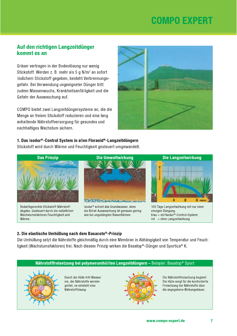### Auf den richtigen Langzeitdünger kommt es an

Gräser vertragen in der Bodenlösung nur wenig Stickstoff. Werden z. B. mehr als 5 g N/m<sup>2</sup> an sofort löslichem Stickstoff gegeben, besteht Verbrennungsgefahr. Bei Verwendung ungeeigneter Dünger tritt zudem Massenwuchs, Krankheitsanfälligkeit und die Gefahr der Auswaschung auf.

COMPO bietet zwei Langzeitdüngersysteme an, die die Menge an freiem Stickstoff reduzieren und eine lang anhaltende Nährstoffversorgung für gesundes und nachhaltiges Wachstum sichern.



1. Das Isodur®-Control System in allen Floranid®-Langzeitdüngern

Stickstoff wird durch Wärme und Feuchtigkeit gesteuert umgewandelt.



abgabe. Gesteuert durch die natürlichen Wachstumsfaktoren Feuchtigkeit und Wärme.





#### 2. Die elastische Umhüllung nach dem Basacote®-Prinzip

Die Umhüllung setzt die Nährstoffe gleichmäßig durch eine Membran in Abhängigkeit von Temperatur und Feuchtigkeit (Wachstumsfaktoren) frei. Nach diesem Prinzip wirken die Basatop®-Dünger und Sportica® K.

### Nährstofffreisetzung bei polymerumhüllten Langzeitdüngern - Beispiel: Basatop® Sport



Durch die Hülle tritt Wasser ein, die Nährstoffe werden gelöst, es entsteht eine Nährstofflösung.



Die Nährstofffreisetzung beginnt: Die Hülle sorgt für die kontrollierte Freisetzung der Nährstoffe über die angegebene Wirkungsdauer.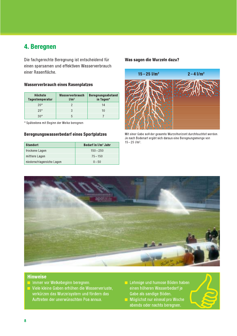## 4. Beregnen

Die fachgerechte Beregnung ist entscheidend für einen sparsamen und effektiven Wasserverbrauch einer Rasenfläche.

#### **Wasserverbrauch eines Rasenplatzes**

| Höchste<br><b>Tagestemperatur</b> | Wasserverbrauch<br>1/m <sup>2</sup> | <b>Beregnungsabstand</b><br>in Tagen* |
|-----------------------------------|-------------------------------------|---------------------------------------|
| $20^{\circ}$                      |                                     | 14                                    |
| $25^\circ$                        |                                     | 10                                    |
| ۹۵۰                               |                                     |                                       |

\* Spätestens mit Beginn der Welke beregnen

#### Beregnungswasserbedarf eines Sportplatzes

| <b>Standort</b>           | Bedarf in I/m <sup>2</sup> Jahr |
|---------------------------|---------------------------------|
| trockene Lagen            | $150 - 250$                     |
| mittlere Lagen            | $75 - 150$                      |
| niederschlagsreiche Lagen | $0 - 50$                        |

#### Was sagen die Wurzeln dazu?



Mit einer Gabe soll der gesamte Wurzelhorizont durchfeuchtet werden. Je nach Bodenart ergibt sich daraus eine Beregnungsmenge von  $15 - 25$  l/m<sup>2</sup>.



- Immer vor Welkebeginn beregnen.
- Viele kleine Gaben erhöhen die Wasserverluste, verkürzen das Wurzelsystem und fördern das Auftreten der unerwünschten Poa annua.
- Lehmige und humose Böden haben einen höheren Wasserbedarf je Gabe als sandige Böden.
- Möglichst nur einmal pro Woche abends oder nachts beregnen.

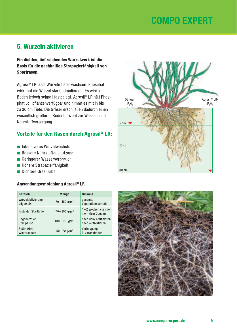**5. Wurzeln aktivieren**<br>
Ein dichtes, tief reichendes Wurzelwerk ist die<br>
Basis für die nachhaltige Strapazierfähigkeit von<br>
Sportrasen.<br>
Agrosil® LR lässt Wurzeln tiefer wachsen. Phosphat<br>
wirkt auf die Wurzel stark stimu Boden jedoch schnell festgelegt. Agrosil® LR hält Phosphat voll pflanzenverfügbar und nimmt es mit in bis zu 30 cm Tiefe. Die Gräser erschließen dadurch einen wesentlich größeren Bodenhorizont zur Wasser- und Nährstoffversorgung. Agrosil® LR lässt Wurzeln tiefer wachsen. Phosphat<br>
wirkt auf die Wurzel stark stimulierend. Es wird im<br>
Boden jedoch schnell festgelegt. Agrosil® LR hält Phos-<br>
phat voll pflanzenverfügbar und nimmt es mit in bis<br>
zu 30 c

- 
- 
- 
- 
- 

| ■ Höhere Strapazierfähigkeit<br>Dichtere Grasnarbe<br>Anwendungsempfehlung Agrosil® LR |                              |                                             |  |
|----------------------------------------------------------------------------------------|------------------------------|---------------------------------------------|--|
| <b>Bereich</b>                                                                         | <b>Menge</b>                 | <b>Hinweis</b>                              |  |
| Wurzelaktivierung<br>allgemein                                                         | $70 - 150$ g/m <sup>2</sup>  | gesamte<br>Vegetationsperiode               |  |
| Frühjahr, Starthilfe                                                                   | $70 - 100$ g/m <sup>2</sup>  | 1-2 Wochen vor oder<br>nach dem Düngen      |  |
| Regeneration,<br>Spielpause                                                            | $100 - 150$ g/m <sup>2</sup> | nach dem Aerifizieren<br>oder Vertikutieren |  |
| Spätherbst.<br>Winterschutz                                                            | $50 - 70$ g/m <sup>2</sup>   | Vorbeugung<br>Pilzkrankheiten               |  |



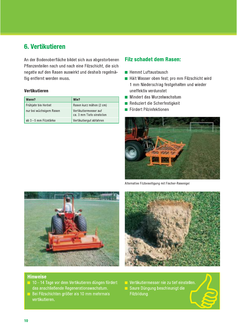## 6. Vertikutieren

An der Bodenoberfläche bildet sich aus abgestorbenen Pflanzenteilen nach und nach eine Filzschicht, die sich negativ auf den Rasen auswirkt und deshalb regelmä-Big entfernt werden muss.

#### Vertikutieren

| Wann?                   | Wie?                                               |
|-------------------------|----------------------------------------------------|
| Frühjahr bis Herbst     | Rasen kurz mähen (2 cm)                            |
| nur bei wüchsigem Rasen | Vertikutiermesser auf<br>ca. 3 mm Tiefe einstellen |
| ab 3-5 mm Filzstärke    | Vertikutiergut abfahren                            |

### **Filz schadet dem Rasen:**

- $\blacksquare$  Hemmt Luftaustausch
- Hält Wasser oben fest; pro mm Filzschicht wird 1 mm Niederschlag festgehalten und wieder uneffektiv verdunstet
- Mindert das Wurzelwachstum
- Reduziert die Scherfestigkeit
- Fördert Pilzinfektionen



Alternative Filzbeseitigung mit Fischer-Rasenigel





#### **Hinweise**

- 10-14 Tage vor dem Vertikutieren düngen fördert das anschließende Regenerationswachstum.
- Bei Filzschichten größer als 10 mm mehrmals vertikutieren.
- Vertikutiermesser nie zu tief einstellen. Saure Düngung beschleunigt die

Filzbildung.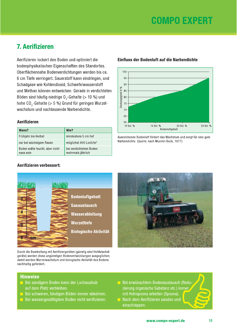## **7. Aerifizieren**

Aerifizieren lockert den Boden und optimiert die bodenphysikalischen Eigenschaften des Standortes. Oberflächennahe Bodenverdichtungen werden bis ca. 6 cm Tiefe verringert. Sauerstoff kann eindringen, und Schadgase wie Kohlendioxid, Schwefelwasserstoff und Methan können entweichen. Gerade in verdichteten Böden sind häufig niedrige O<sub>2</sub>-Gehalte (> 10 %) und hohe CO<sub>2</sub>-Gehalte (> 5 %) Grund für geringes Wurzelwachstum und nachlassende Narbendichte.

#### **Aerifizieren**

| Wann?                                        | Wie?                                        |
|----------------------------------------------|---------------------------------------------|
| Frühjahr bis Herbst                          | mindestens 5 cm tief                        |
| nur bei wüchsigem Rasen                      | möglichst 400 Loch/m <sup>2</sup>           |
| Boden sollte feucht, aber nicht<br>nass sein | bei verdichtetem Boden<br>mehrmals jährlich |

#### Einfluss der Bodenluft auf die Narbendichte



#### Ausreichende Bodenluft fördert das Wachstum und sorgt für eine gute Narbendichte. (Quelle: nach Mueller-Beck, 1977)

#### Aerifizieren verbessert:



Durch die Bearbeitung mit Aerifiziergeräten (günstig sind Hohlstachelgeräte) werden diese ungünstigen Bodenentwicklungen ausgeglichen; damit werden Wurzelwachstum und biologische Aktivität des Bodens nachhaltig gefördert.



- **Bei sandigem Boden kann der Lochaushub** auf dem Platz verbleiben.
- **Bei schweren, bindigen Böden immer abkehren.**
- Bei wassergesättigtem Boden nicht aerifizieren.
- Bei erwünschtem Bodenaustausch (Reduzierung organische Substanz etc.) immer mit Hohlspoons arbeiten (Spoons).
- Nach dem Aerifizieren sanden und  $\Box$ einschleppen.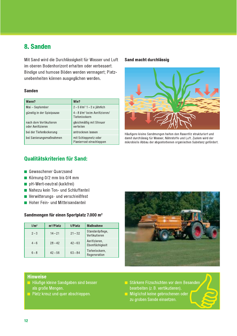## 8. Sanden

Mit Sand wird die Durchlässigkeit für Wasser und Luft im oberen Bodenhorizont erhalten oder verbessert. Bindige und humose Böden werden vermagert; Platzunebenheiten können ausgeglichen werden.

#### **Sanden**

| Wann?                                       | Wie?                                                       |
|---------------------------------------------|------------------------------------------------------------|
| Mai - September                             | $2-5$ $1/m^2$ 1 - 3 x jährlich                             |
| günstig in der Spielpause                   | $4-8$ I/m <sup>2</sup> beim Aerifizieren/<br>Tiefenlockern |
| nach dem Vertikutieren<br>oder Aerifizieren | gleichmäßig mit Streuer<br>verteilen                       |
| bei der Tiefenlockerung                     | antrocknen lassen                                          |
| bei Sanierungsmaßnahmen                     | mit Schleppnetz oder<br>Planierrost einschleppen           |

#### Sand macht durchlässig



Häufigere kleine Sandmengen halten den Rasenfilz strukturiert und damit durchlässig für Wasser, Nährstoffe und Luft, Zudem wird der mikrobielle Abbau der abgestorbenen organischen Substanz gefördert.

## Qualitätskriterien für Sand:

- Gewaschener Quarzsand
- Körnung  $0/2$  mm bis  $0/4$  mm
- pH-Wert-neutral (kalkfrei)
- Nahezu kein Ton- und Schluffanteil
- Verwitterungs- und verschleißfest
- Hoher Fein- und Mittelsandanteil

#### Sandmengen für einen Sportplatz 7.000 m<sup>2</sup>

| 1/m <sup>2</sup> | $m^3$ /Platz | t/Platz   | <b>Maßnahme</b>                  |
|------------------|--------------|-----------|----------------------------------|
| $2 - 3$          | $14 - 21$    | $21 - 32$ | Standardpflege,<br>Vertikutieren |
| $4 - 6$          | $28 - 42$    | $42 - 63$ | Aerifizieren.<br>Ebenflächigkeit |
| $6 - 8$          | $42 - 56$    | $63 - 84$ | Tiefenlockern,<br>Regeneration   |

- Häufige kleine Sandgaben sind besser als große Mengen.
- $\blacksquare$  Platz kreuz und quer abschleppen.



- Stärkere Filzschichten vor dem Besanden bearbeiten (z. B. vertikutieren).
- Möglichst keine gebrochenen oder zu groben Sande einsetzen.

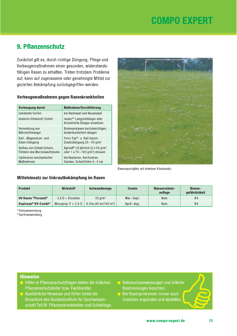## 9. Pflanzenschutz

Zunächst gilt es, durch richtige Düngung, Pflege und Vorbeugemaßnahmen einen gesunden, widerstandsfähigen Rasen zu erhalten. Treten trotzdem Probleme auf, kann auf zugelassene oder genehmigte Mittel zur gezielten Bekämpfung zurückgegriffen werden.

#### Vorbeugemaßnahmen gegen Rasenkrankheiten

| Vorbeugung durch            | Maßnahme/Durchführung                                        |
|-----------------------------|--------------------------------------------------------------|
| resistente Sorten           | bei Nachsaat und Neuansaat                                   |
| dosierte Stickstoff-Zufuhr  | Isodur®-Langzeitdünger oder<br>teilumhüllte Dünger einsetzen |
| Vermeidung von              | Bodenanalysen berücksichtigen,                               |
| Nährstoffmangel             | bedarfsorientiert düngen                                     |
| Kali-, Magnesium- und       | Ferro Top®- u. Kali Gazon-                                   |
| Eisen-Düngung               | Zusatzdüngung $25 - 30$ g/m <sup>2</sup>                     |
| Aufbau von Silikat-Schutz,  | Agrosil <sup>®</sup> LR jährlich (2 x 50 g/m <sup>2</sup>    |
| Fördern des Wurzelwachstums | oder 1 x 70 – 100 g/m <sup>2</sup> ) streuen                 |
| Optimieren mechanischer     | Vertikutieren, Aerifizieren,                                 |
| Maßnahmen                   | Sanden, Schnitthöhe 4-5 cm                                   |



Rasensportplatz mit starkem Kleebesatz

#### Mitteleinsatz zur Unkrautbekämpfung im Rasen

| <b>Produkt</b>                   | <b>Wirkstoff</b>       | Aufwandmenge                       | <b>Termin</b> | Wasserschutz-<br>auflage | <b>Bienen-</b><br>gefährlichkeit |
|----------------------------------|------------------------|------------------------------------|---------------|--------------------------|----------------------------------|
| UV Rasen ®Floranid <sup>1)</sup> | $2.4 D + Dicamba$      | $30 \text{ g/m}^2$                 | Mai-Sept.     | Nein                     | <b>B4</b>                        |
| Duplosan® KV-Combi <sup>2)</sup> | Mecoprop-P $+ 2, 4$ -D | 4 I/ha (40 ml/100 m <sup>2</sup> ) | April-Aug.    | Nein                     | <b>B4</b>                        |

<sup>1)</sup> Streuanwendung

<sup>2)</sup> Spritzanwendung

- Hilfen in Pflanzenschutzfragen bieten die örtlichen Pflanzenschutzämter bzw. Fachberater.
- Ausführliche Hinweise und Hilfen bietet die Broschüre des Bundesinstituts für Sportwissenschaft Teil IV: Pflanzenkrankheiten und Schädlinge.
- Gebrauchsanweisungen und örtliche Bestimmungen beachten.
- Bei Rasenproblemen immer auch Ursachen ergründen und abstellen.